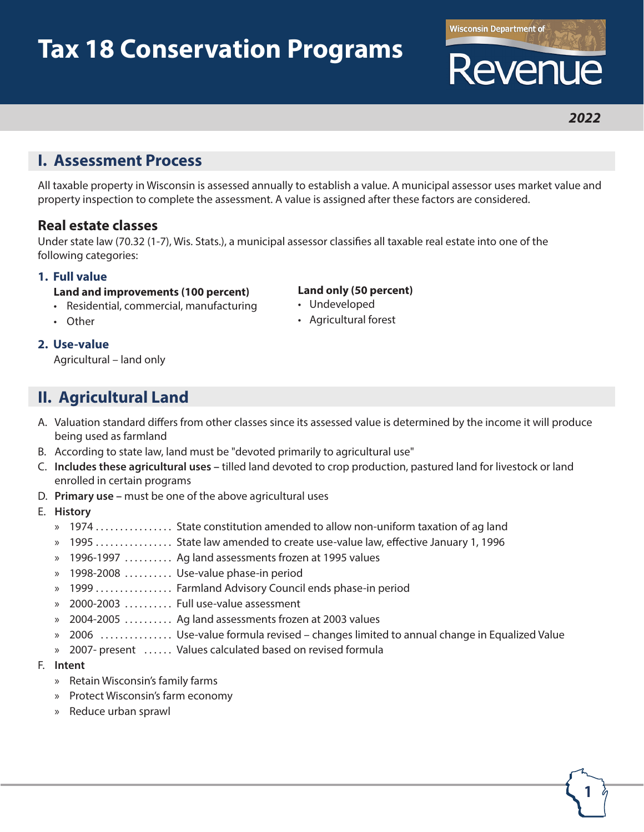# **Tax 18 Conservation Programs**

# **I. Assessment Process**

All taxable property in Wisconsin is assessed annually to establish a value. A municipal assessor uses market value and property inspection to complete the assessment. A value is assigned after these factors are considered.

### **Real estate classes**

Under state law (70.32 (1-7), Wis. Stats.), a municipal assessor classifies all taxable real estate into one of the following categories:

#### **1. Full value**

- **Land and improvements (100 percent)**
- Residential, commercial, manufacturing
- **Land only (50 percent)**
- Undeveloped

• Other

• Agricultural forest

#### **2. Use-value**

Agricultural – land only

# **II. Agricultural Land**

- A. Valuation standard differs from other classes since its assessed value is determined by the income it will produce being used as farmland
- B. According to state law, land must be "devoted primarily to agricultural use"
- C. **Includes these agricultural uses –** tilled land devoted to crop production, pastured land for livestock or land enrolled in certain programs
- D. **Primary use –** must be one of the above agricultural uses
- E. **History**
	- » 1974................ State constitution amended to allow non-uniform taxation of ag land
	- » 1995 . . . . . . . . . . . . . . . State law amended to create use-value law, effective January 1, 1996
	- » 1996-1997 .......... Ag land assessments frozen at 1995 values
	- » 1998-2008 ......... Use-value phase-in period
	- » 1999 . . . . . . . . . . . . . . . Farmland Advisory Council ends phase-in period
	- » 2000-2003 . . . . . . . . . Full use-value assessment
	- » 2004-2005 . . . . . . . . . . Ag land assessments frozen at 2003 values
	- » 2006 ............... Use-value formula revised changes limited to annual change in Equalized Value
	- » 2007- present ...... Values calculated based on revised formula
- F. **Intent**
	- » Retain Wisconsin's family farms
	- » Protect Wisconsin's farm economy
	- » Reduce urban sprawl

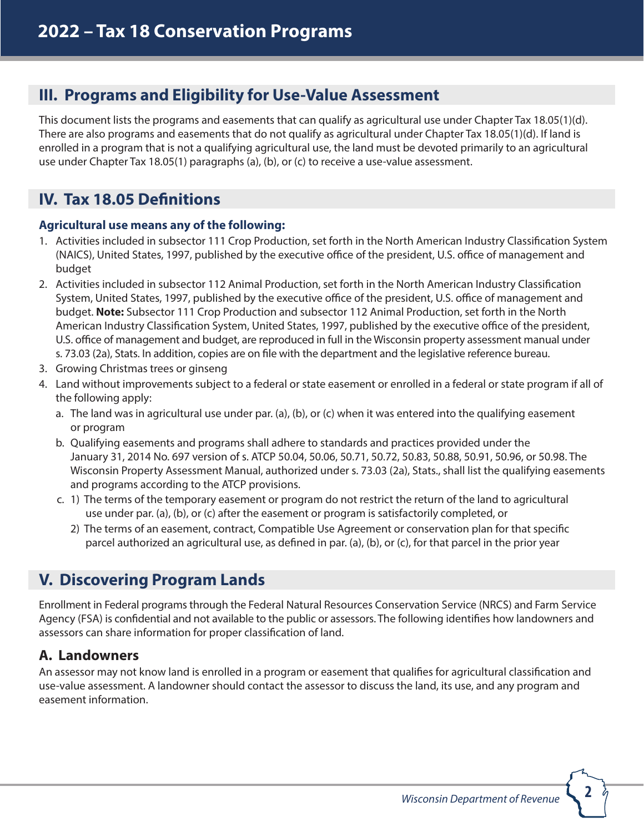# **III. Programs and Eligibility for Use-Value Assessment**

This document lists the programs and easements that can qualify as agricultural use under Chapter Tax 18.05(1)(d). There are also programs and easements that do not qualify as agricultural under Chapter Tax 18.05(1)(d). If land is enrolled in a program that is not a qualifying agricultural use, the land must be devoted primarily to an agricultural use under Chapter Tax 18.05(1) paragraphs (a), (b), or (c) to receive a use-value assessment.

# **IV. Tax 18.05 Definitions**

#### **Agricultural use means any of the following:**

- 1. Activities included in subsector 111 Crop Production, set forth in the North American Industry Classification System (NAICS), United States, 1997, published by the executive office of the president, U.S. office of management and budget
- 2. Activities included in subsector 112 Animal Production, set forth in the North American Industry Classification System, United States, 1997, published by the executive office of the president, U.S. office of management and budget. **Note:** Subsector 111 Crop Production and subsector 112 Animal Production, set forth in the North American Industry Classification System, United States, 1997, published by the executive office of the president, U.S. office of management and budget, are reproduced in full in the Wisconsin property assessment manual under s. 73.03 (2a), Stats. In addition, copies are on file with the department and the legislative reference bureau.
- 3. Growing Christmas trees or ginseng
- 4. Land without improvements subject to a federal or state easement or enrolled in a federal or state program if all of the following apply:
	- a. The land was in agricultural use under par. (a), (b), or (c) when it was entered into the qualifying easement or program
	- b. Qualifying easements and programs shall adhere to standards and practices provided under the January 31, 2014 No. 697 version of s. ATCP 50.04, 50.06, 50.71, 50.72, 50.83, 50.88, 50.91, 50.96, or 50.98. The Wisconsin Property Assessment Manual, authorized under s. 73.03 (2a), Stats., shall list the qualifying easements and programs according to the ATCP provisions.
	- c. 1) The terms of the temporary easement or program do not restrict the return of the land to agricultural use under par. (a), (b), or (c) after the easement or program is satisfactorily completed, or
		- 2) The terms of an easement, contract, Compatible Use Agreement or conservation plan for that specific parcel authorized an agricultural use, as defined in par. (a), (b), or (c), for that parcel in the prior year

# **V. Discovering Program Lands**

Enrollment in Federal programs through the Federal Natural Resources Conservation Service (NRCS) and Farm Service Agency (FSA) is confidential and not available to the public or assessors. The following identifies how landowners and assessors can share information for proper classification of land.

# **A. Landowners**

An assessor may not know land is enrolled in a program or easement that qualifies for agricultural classification and use-value assessment. A landowner should contact the assessor to discuss the land, its use, and any program and easement information.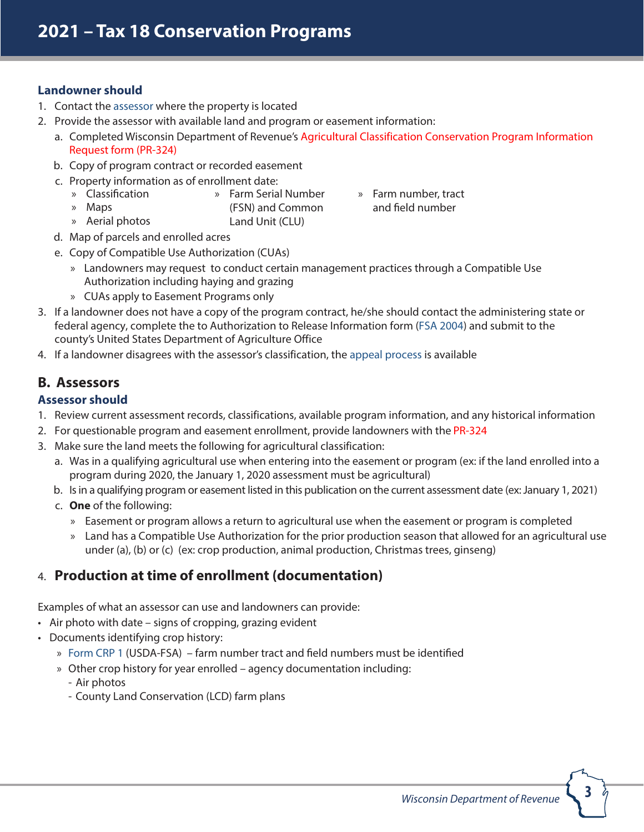#### **Landowner should**

» Maps

- 1. Contact the [assessor](https://www.revenue.wi.gov/training/assess/assrlist.pdf) where the property is located
- 2. Provide the assessor with available land and program or easement information:
	- a. Completed Wisconsin Department of Revenue's Agricultural Classification Conservation Program Information Reques[t form \(](https://www.revenue.wi.gov/Pages/Form/govasr-spflist.aspx)PR-324)
	- b. Copy of program contract or recorded easement
	- c. Property information as of enrollment date:
		- » Classification » Farm Serial Number
			- (FSN) and Common
		- Land Unit (CLU) » Aerial photos
- » Farm number, tract and field number

- d. Map of parcels and enrolled acres
- e. Copy of Compatible Use Authorization (CUAs)
	- » Landowners may request to conduct certain management practices through a Compatible Use Authorization including haying and grazing
	- » CUAs apply to Easement Programs only
- 3. If a landowner does not have a copy of the program contract, he/she should contact the administering state or federal agency, complete the to Authorization to Release Information form [\(FSA 2004\)](https://forms.sc.egov.usda.gov/eForms/searchAction.do) and submit to the county's United States Department of Agriculture Office
- 4. If a landowner disagrees with the assessor's classification, the [appeal process](https://www.revenue.wi.gov/pubs/slf/pb055.pdf) is available

# **B. Assessors**

#### **Assessor should**

- **"** Review current assessment records, classifications, available program information, and any historical information
- $\boxtimes$  For questionable program and easement enrollment, provide landowners with the [PR-324](https://www.revenue.wi.gov/Pages/Form/govasr-spflist.aspx)
- $\boxtimes$  Make sure the land meets the following for agricultural classification:
	- B Was in a qualifying agricultural use when entering into the easement or program (ex: if the land enrolled into a program during 2020, the January 1, 2020 assessment must be agricultural)
	- C Isin a qualifying program or easement listed in this publication on the current assessment date (ex: January 1, 2021)
	- D **One** of the following:
		- » Easement or program allows a return to agricultural use when the easement or program is completed
		- » Land has a Compatible Use Authorization for the prior production season that allowed for an agricultural use under (a), (b) or (c) (ex: crop production, animal production, Christmas trees, ginseng)

# **C. Production at time of enrollment (documentation)**

Examples of what an assessor can use and landowners can provide:

- Air photo with date signs of cropping, grazing evident
- Documents identifying crop history:
	- » Form CRP 1 (USDA-FSA) farm number tract and field numbers must be identified
	- » [Other crop h](https://forms.sc.egov.usda.gov/eForms/searchAction.do)istory for year enrolled agency documentation including:
		- Air photos
		- County Land Conservation (LCD) farm plans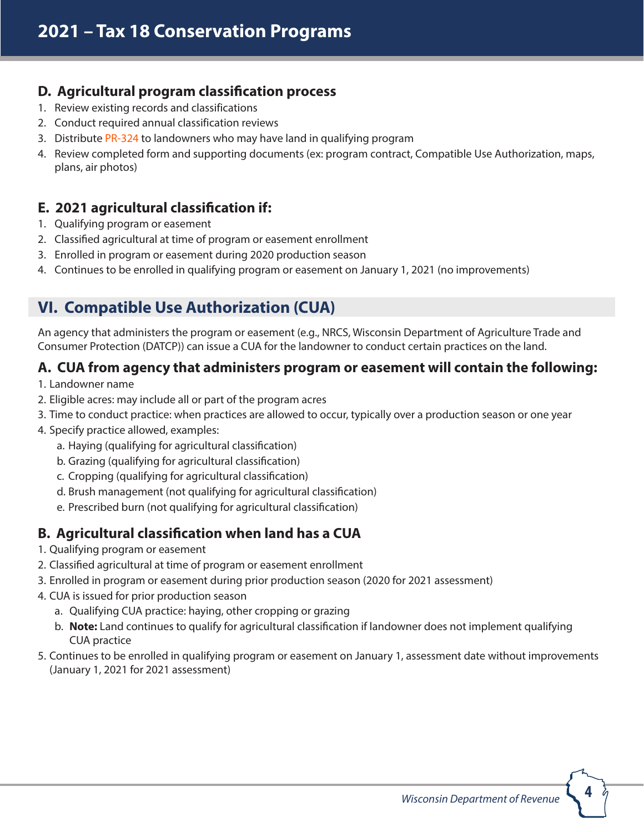# **D. Agricultural program classification process**

- 1. Review existing records and classifications
- 2. Conduct required annual classification reviews
- 3. Distribute [PR-324](https://www.revenue.wi.gov/Pages/Form/govasr-spflist.aspx) to landowners who may have land in qualifying program
- 4. Review completed form and supporting documents (ex: program contract, Compatible Use Authorization, maps, plans, air photos)

# **E. 2021 agricultural classification if:**

- 1. Qualifying program or easement
- 2. Classified agricultural at time of program or easement enrollment
- 3. Enrolled in program or easement during 2020 production season
- 4. Continues to be enrolled in qualifying program or easement on January 1, 2021 (no improvements)

# **VI. Compatible Use Authorization (CUA)**

An agency that administers the program or easement (e.g., NRCS, Wisconsin Department of Agriculture Trade and Consumer Protection (DATCP)) can issue a CUA for the landowner to conduct certain practices on the land.

# **A. CUA from agency that administers program or easement will contain the following:**

- 1. Landowner name
- 2. Eligible acres: may include all or part of the program acres
- 3. Time to conduct practice: when practices are allowed to occur, typically over a production season or one year
- 4. Specify practice allowed, examples:
	- a. Haying (qualifying for agricultural classification)
	- b. Grazing (qualifying for agricultural classification)
	- c. Cropping (qualifying for agricultural classification)
	- d. Brush management (not qualifying for agricultural classification)
	- e. Prescribed burn (not qualifying for agricultural classification)

# **B. Agricultural classification when land has a CUA**

- 1. Qualifying program or easement
- 2. Classified agricultural at time of program or easement enrollment
- 3. Enrolled in program or easement during prior production season (2020 for 2021 assessment)
- 4. CUA is issued for prior production season
	- a. Qualifying CUA practice: haying, other cropping or grazing
	- b. **Note:** Land continues to qualify for agricultural classification if landowner does not implement qualifying CUA practice
- 5. Continues to be enrolled in qualifying program or easement on January 1, assessment date without improvements (January 1, 2021 for 2021 assessment)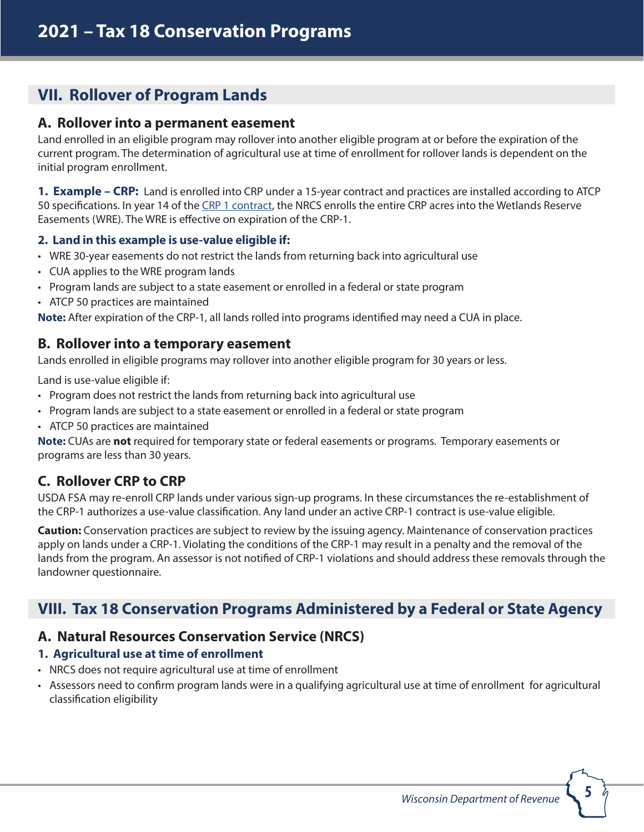# **VII. Rollover of Program Lands**

### **A. Rollover into a permanent easement**

Land enrolled in an eligible program may rollover into another eligible program at or before the expiration of the current program. The determination of agricultural use at time of enrollment for rollover lands is dependent on the initial program enrollment.

**1. Example – CRP:** Land is enrolled into CRP under a 15-year contract and practices are installed according to ATCP 50 specifications. In year 14 of the [CRP 1 contract,](https://forms.sc.egov.usda.gov/eForms/searchAction.do) the NRCS enrolls the entire CRP acres into the Wetlands Reserve Easements (WRE). The WRE is effective on expiration of the CRP-1.

### **2. Land in this example is use-value eligible if:**

- WRE 30-year easements do not restrict the lands from returning back into agricultural use
- CUA applies to the WRE program lands
- Program lands are subject to a state easement or enrolled in a federal or state program
- ATCP 50 practices are maintained

**Note:** After expiration of the CRP-1, all lands rolled into programs identified may need a CUA in place.

### **B. Rollover into a temporary easement**

Lands enrolled in eligible programs may rollover into another eligible program for 30 years or less.

Land is use-value eligible if:

- Program does not restrict the lands from returning back into agricultural use
- Program lands are subject to a state easement or enrolled in a federal or state program
- ATCP 50 practices are maintained

**Note:** CUAs are **not** required for temporary state or federal easements or programs. Temporary easements or programs are less than 30 years.

# **C. Rollover CRP to CRP**

USDA FSA may re-enroll CRP lands under various sign-up programs. In these circumstances the re-establishment of the CRP-1 authorizes a use-value classification. Any land under an active CRP-1 contract is use-value eligible.

**Caution:** Conservation practices are subject to review by the issuing agency. Maintenance of conservation practices apply on lands under a CRP-1. Violating the conditions of the CRP-1 may result in a penalty and the removal of the lands from the program. An assessor is not notified of CRP-1 violations and should address these removals through the landowner questionnaire.

# **VIII. Tax 18 Conservation Programs Administered by a Federal or State Agency**

# **A. Natural Resources Conservation Service (NRCS)**

### **1. Agricultural use at time of enrollment**

- NRCS does not require agricultural use at time of enrollment
- Assessors need to confirm program lands were in a qualifying agricultural use at time of enrollment for agricultural classification eligibility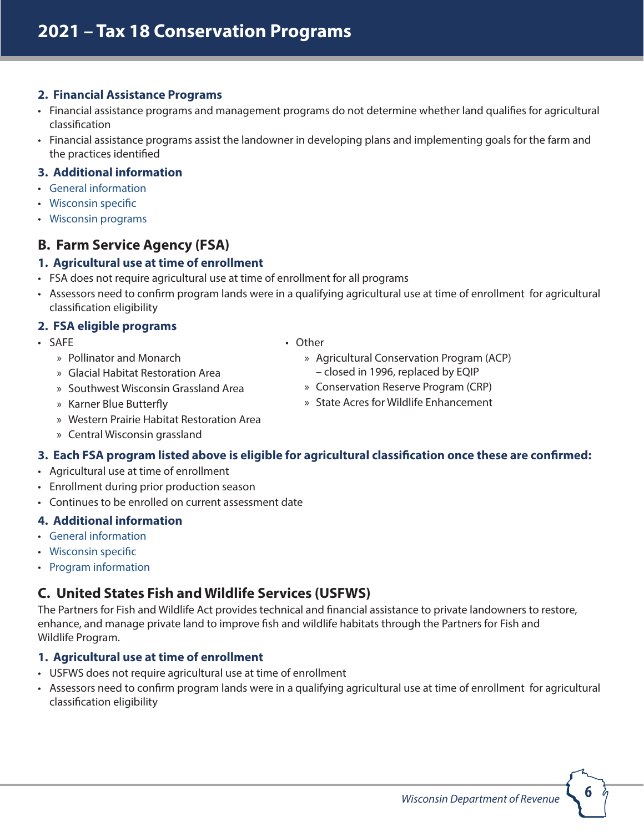#### **2. Financial Assistance Programs**

- Financial assistance programs and management programs do not determine whether land qualifies for agricultural classification
- Financial assistance programs assist the landowner in developing plans and implementing goals for the farm and the practices identified

#### **3. Additional information**

- [General information](http://www.nrcs.usda.gov/wps/portal/nrcs/site/national/home/)
- [Wisconsin specific](http://www.nrcs.usda.gov/wps/portal/nrcs/site/wi/home/)
- [Wisconsin programs](http://www.nrcs.usda.gov/wps/portal/nrcs/main/wi/programs/)

# **B. Farm Service Agency (FSA)**

#### **1. Agricultural use at time of enrollment**

- FSA does not require agricultural use at time of enrollment for all programs
- Assessors need to confirm program lands were in a qualifying agricultural use at time of enrollment for agricultural classification eligibility

### **2. FSA eligible programs**

- General Conservation Program (CRP)
- Continuous CRP Sign-ups
	- » State Acres for Wildlife Enhancement (SAFE)
		- o Pollinator and Monarch
		- o Glacial Habitat Restoration Area
		- o Southwest Wisconsin Grassland Area
		- o Karner Blue Butterfly
		- o Western Prairie Habitat Restoration Area
		- o Central Wisconsin grassland
- » Highly Erodible Land Initiative (HELI)
- » CLEAR30
- » Conservation Reserve Enhancement Program (CREP)
- » Other
	- » Agricultural Conservation Program (ACP) – closed in 1996, replaced by EQIP
	- » Conservation Reserve Program (CRP)
	- » State Acres for Wildlife Enhancement

### **3. Each FSA program listed above is eligible for agricultural classification once these are confirmed:**

- Agricultural use at time of enrollment
- Enrollment during prior production season
- [Continues to be enro](http://www.fsa.usda.gov/)lled on current assessment date

### **4. Additional information**

- General information
- [Wisconsin specific](http://www.fsa.usda.gov/FSA/stateoffapp?mystate=wi&area=home&subject=landing&topic=landing)
- [Program information](http://www.fsa.usda.gov/FSA/stateoffapp?mystate=wi&area=home&subject=prog&topic=landing)

# **C. United States Fish and Wildlife Services (USFWS)**

The Partners for Fish and Wildlife Act provides technical and financial assistance to private landowners to restore, enhance, and manage private land to improve fish and wildlife habitats through the Partners for Fish and Wildlife Program.

### **1. Agricultural use at time of enrollment**

- USFWS does not require agricultural use at time of enrollment
- Assessors need to confirm program lands were in a qualifying agricultural use at time of enrollment for agricultural classification eligibility

**6**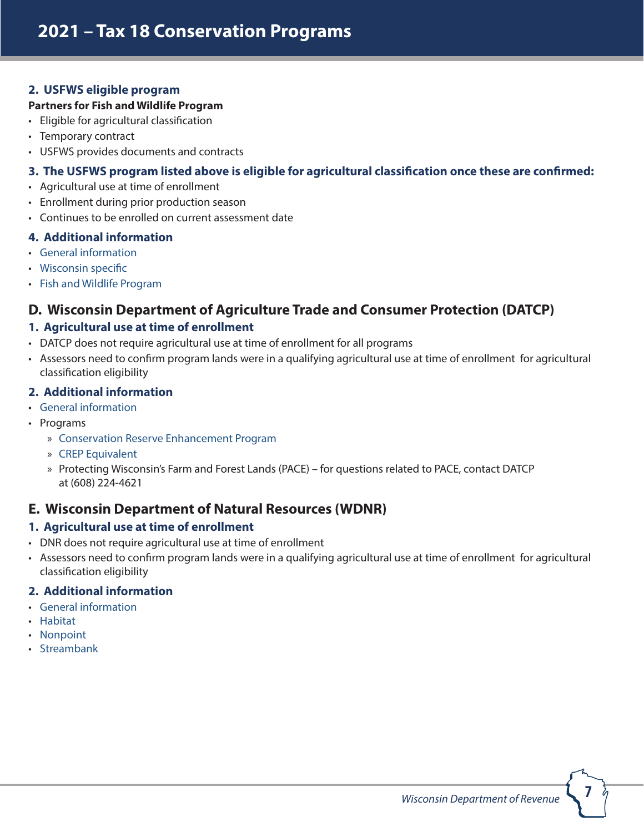### **2. USFWS eligible program**

#### **Partners for Fish and Wildlife Program**

- Eligible for agricultural classification
- Temporary contract
- USFWS provides documents and contracts

### **3. The USFWS program listed above is eligible for agricultural classification once these are confirmed:**

- Agricultural use at time of enrollment
- Enrollment during prior production season
- Continues to be enrolled on current assessment date

### **4. Additional information**

- [General information](http://www.fws.gov/)
- [Wisconsin specific](http://www.fws.gov/offices/Directory/ListOffices.cfm?statecode=55)
- [Fish and Wildlife Program](http://www.fws.gov/partners/)

# **D. Wisconsin Department of Agriculture Trade and Consumer Protection (DATCP)**

### **1. Agricultural use at time of enrollment**

- DATCP does not require agricultural use at time of enrollment for all programs
- Assessors need to confirm program lands were in a qualifying agricultural use at time of enrollment for agricultural classification eligibility

### **2. Additional information**

- [General information](https://datcp.wi.gov/Pages/Programs_Services/CREP.aspx)
- Programs
	- » [Conservation Reserve Enhancement Program](https://datcp.wi.gov/Pages/Programs_Services/CREP.aspx)
	- » [CREP Equivalent](https://datcp.wi.gov/Documents/CriteriaLandOutProdCrepEquivalent.pdf)
	- » Protecting Wisconsin's Farm and Forest Lands (PACE) for questions related to PACE, contact DATCP at (608) 224-4621

# **E. Wisconsin Department of Natural Resources (WDNR)**

### **1. Agricultural use at time of enrollment**

- DNR does not require agricultural use at time of enrollment
- Assessors need to confirm program lands were in a qualifying agricultural use at time of enrollment for agricultural classification eligibility

### **2. Additional information**

- [General information](http://dnr.wi.gov/)
- [Habitat](http://dnr.wi.gov/topic/WildlifeHabitat/)
- [Nonpoint](http://dnr.wi.gov/topic/nonpoint/)
- [Streambank](http://dnr.wi.gov/topic/fishing/streambank/)

**7**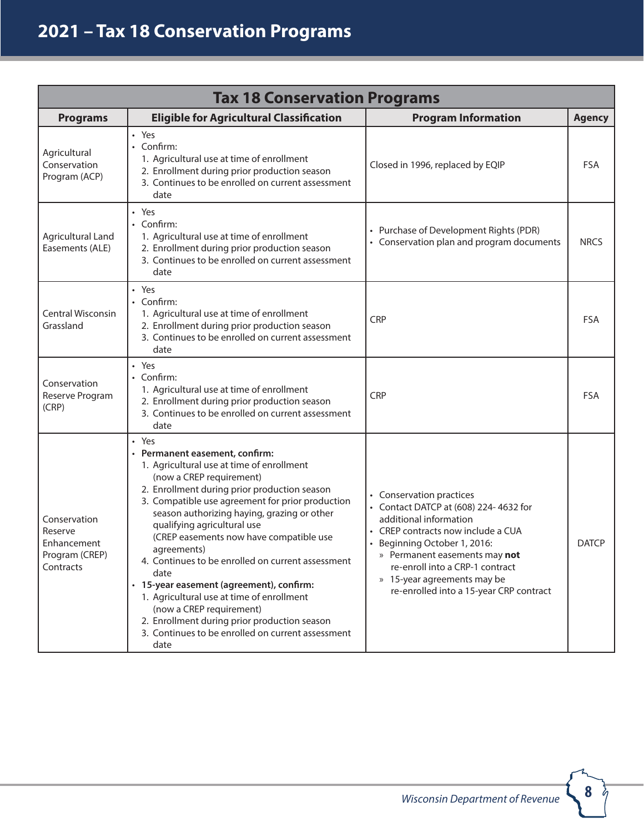# **2022 – Tax 18 Conservation Programs**

| <b>Tax 18 Conservation Programs</b>                                   |                                                                                                                                                                                                                                                                                                                                                                                                                                                                                                                                                                                                                                  |                                                                                                                                                                                                                                                                                                                                      |                                   |
|-----------------------------------------------------------------------|----------------------------------------------------------------------------------------------------------------------------------------------------------------------------------------------------------------------------------------------------------------------------------------------------------------------------------------------------------------------------------------------------------------------------------------------------------------------------------------------------------------------------------------------------------------------------------------------------------------------------------|--------------------------------------------------------------------------------------------------------------------------------------------------------------------------------------------------------------------------------------------------------------------------------------------------------------------------------------|-----------------------------------|
| <b>Programs</b>                                                       | <b>Eligible for Agricultural Classification</b>                                                                                                                                                                                                                                                                                                                                                                                                                                                                                                                                                                                  | <b>Program Information</b>                                                                                                                                                                                                                                                                                                           | <b>Agency</b>                     |
| Agricultural<br>Conservation<br>Program (ACP)                         | • Yes<br>• Confirm:<br>1. Agricultural use at time of enrollment<br>2. Enrollment during prior production season<br>3. Continues to be enrolled on current assessment<br>date                                                                                                                                                                                                                                                                                                                                                                                                                                                    | Closed in 1996, replaced by EQIP                                                                                                                                                                                                                                                                                                     | <b>FSA</b>                        |
| Agricultural Land<br>Easements (ALE)                                  | • Yes<br>• Confirm:<br>1. Agricultural use at time of enrollment<br>2. Enrollment during prior production season<br>3. Continues to be enrolled on current assessment<br>date                                                                                                                                                                                                                                                                                                                                                                                                                                                    | • Purchase of Development Rights (PDR)<br>• Conservation plan and program documents                                                                                                                                                                                                                                                  | <b>NRCS</b>                       |
| Central Wisconsin<br>Grassland                                        | • Yes<br>• Confirm:<br>1. Agricultural use at time of enrollment<br>2. Enrollment during prior production season<br>3. Continues to be enrolled on current assessment<br>date                                                                                                                                                                                                                                                                                                                                                                                                                                                    | <b>CRP</b>                                                                                                                                                                                                                                                                                                                           | <b>FSA</b>                        |
| Conservation<br>Reserve Program<br>(CRP)                              | • Yes<br>• Confirm:<br>1. Agricultural use at time of enrollment<br>2. Enrollment during prior production season<br>3. Continues to be enrolled on current assessment<br>date                                                                                                                                                                                                                                                                                                                                                                                                                                                    | <b>CRP</b>                                                                                                                                                                                                                                                                                                                           | <b>FSA</b>                        |
| Conservation<br>Reserve<br>Enhancement<br>Program (CREP)<br>Contracts | • Yes<br>• Permanent easement, confirm:<br>1. Agricultural use at time of enrollment<br>(CREP requirement)<br>2. Enrollment during prior production season<br>3. Compatible use agreement for prior production<br>season authorizing haying, grazing or other<br>qualifying agricultural use<br>(CREP easements have compatible use<br>agreements)<br>4. Continues to be enrolled on current assessment<br>date<br>• 15-year agreement, confirm:<br>1. Agricultural use at time of enrollment<br>(CREP requirement)<br>2. Enrollment during prior production season<br>3. Continues to be enrolled on current assessment<br>date | <b>Establishes agricultural conservation</b><br>practices<br>Contact DATCP at (608) 224-4632 for<br>additional information<br>• CREP easements have provisions<br>included equivalent to compatible use<br>agreements<br>• 15-year agreements may be<br>re-enrolled<br>• CREP requires agricultural use at the time<br>of enrollment | <b>DATCP</b><br>and<br><b>FSA</b> |

**8**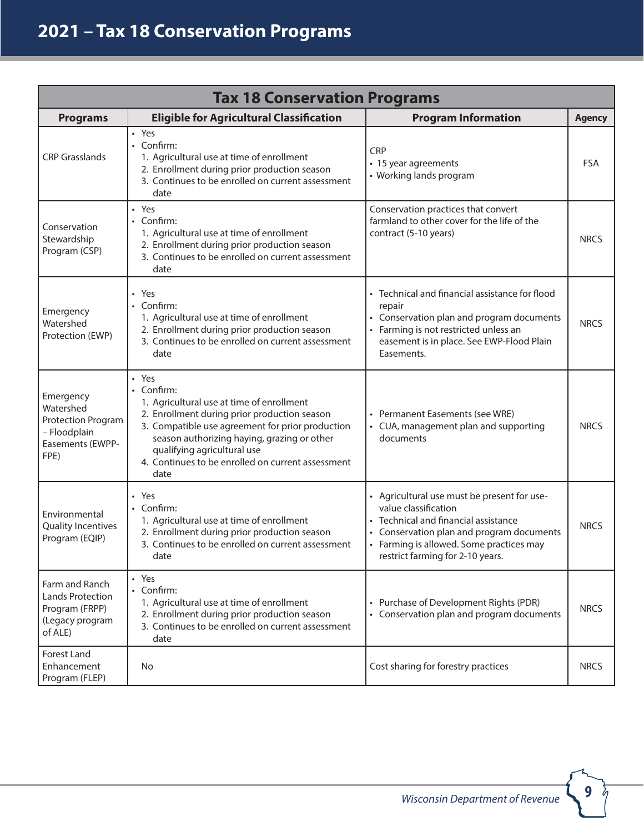| <b>Tax 18 Conservation Programs</b>                                                       |                                                                                                                                                                                                                                                                                                                 |                                                                                                                                                                                                                                        |               |
|-------------------------------------------------------------------------------------------|-----------------------------------------------------------------------------------------------------------------------------------------------------------------------------------------------------------------------------------------------------------------------------------------------------------------|----------------------------------------------------------------------------------------------------------------------------------------------------------------------------------------------------------------------------------------|---------------|
| <b>Programs</b>                                                                           | <b>Eligible for Agricultural Classification</b>                                                                                                                                                                                                                                                                 | <b>Program Information</b>                                                                                                                                                                                                             | <b>Agency</b> |
| <b>CRP Grasslands</b>                                                                     | • Yes<br>• Confirm:<br>1. Agricultural use at time of enrollment<br>2. Enrollment during prior production season<br>3. Continues to be enrolled on current assessment<br>date                                                                                                                                   | <b>CRP</b><br>• 15-year agreements<br>• Working lands<br>program                                                                                                                                                                       | <b>FSA</b>    |
| Conservation<br>Stewardship<br>Program (CSP)                                              | • Yes<br>• Confirm:<br>1. Agricultural use at time of enrollment<br>2. Enrollment during prior production season<br>3. Continues to be enrolled on current assessment<br>date                                                                                                                                   | Conservation practices that convert<br>farmland to other cover for the life of the<br>contract (5-10 years)                                                                                                                            | <b>NRCS</b>   |
| Emergency<br>Watershed<br>Protection (EWP)                                                | • Yes<br>• Confirm:<br>1. Agricultural use at time of enrollment<br>2. Enrollment during prior production season<br>3. Continues to be enrolled on current assessment<br>date                                                                                                                                   | • Technical and financial assistance for flood<br>repair<br>• Conservation plan and program documents<br>• Farming is not restricted unless an<br>easement is in place. See EWP-Flood Plain<br>Easements.                              | <b>NRCS</b>   |
| Emergency<br>Watershed<br>Protection Program<br>- Floodplain<br>Easements (EWPP-<br>FPE)  | • Yes<br>• Confirm:<br>1. Agricultural use at time of enrollment<br>2. Enrollment during prior production season<br>3. Compatible use agreement for prior production<br>season authorizing haying, grazing or other<br>qualifying agricultural use<br>4. Continues to be enrolled on current assessment<br>date | • Permanent Easements (see WRE)<br>• CUA, management plan and supporting<br>documents                                                                                                                                                  | <b>NRCS</b>   |
| Environmental<br>Quality Incentives<br>Program (EQIP)                                     | • Yes<br>• Confirm:<br>1. Agricultural use at time of enrollment<br>2. Enrollment during prior production season<br>3. Continues to be enrolled on current assessment<br>date                                                                                                                                   | • Agricultural use must be present for use-<br>value classification<br>• Technical and financial assistance<br>Conservation plan and program documents<br>• Farming is allowed. Some practices may<br>restrict farming for 2-10 years. | <b>NRCS</b>   |
| Farm and Ranch<br><b>Lands Protection</b><br>Program (FRPP)<br>(Legacy program<br>of ALE) | • Yes<br>• Confirm:<br>1. Agricultural use at time of enrollment<br>2. Enrollment during prior production season<br>3. Continues to be enrolled on current assessment<br>date                                                                                                                                   | • Purchase of Development Rights (PDR)<br>• Conservation plan and program documents                                                                                                                                                    | <b>NRCS</b>   |
| Forest Land<br>Enhancement<br>Program (FLEP)                                              | No                                                                                                                                                                                                                                                                                                              | Cost sharing for forestry practices                                                                                                                                                                                                    | <b>NRCS</b>   |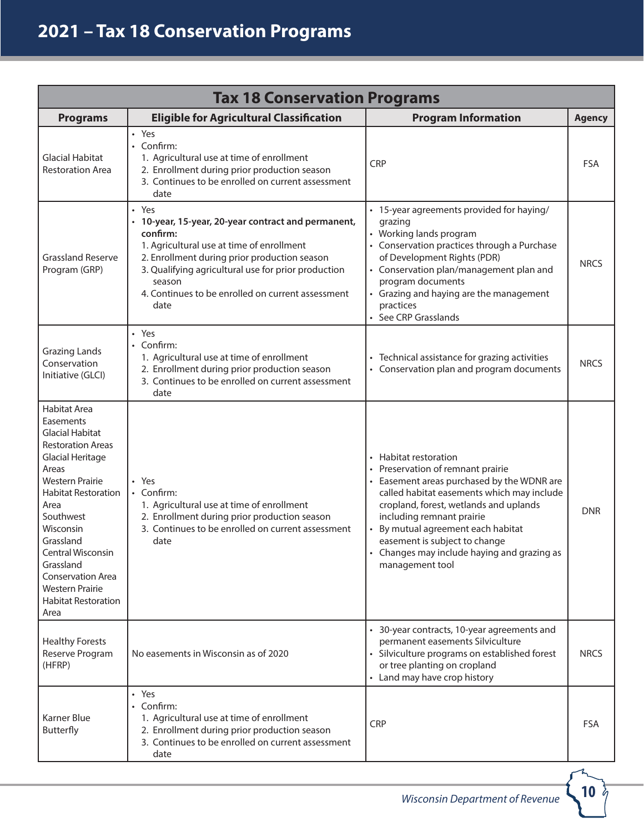| <b>Tax 18 Conservation Programs</b>                                                                                                                                                                                                                                                                                                                             |                                                                                                                                                                                                                                                                                                     |                                                                                                                                                                                                                                                                                                                                                                    |               |
|-----------------------------------------------------------------------------------------------------------------------------------------------------------------------------------------------------------------------------------------------------------------------------------------------------------------------------------------------------------------|-----------------------------------------------------------------------------------------------------------------------------------------------------------------------------------------------------------------------------------------------------------------------------------------------------|--------------------------------------------------------------------------------------------------------------------------------------------------------------------------------------------------------------------------------------------------------------------------------------------------------------------------------------------------------------------|---------------|
| <b>Programs</b>                                                                                                                                                                                                                                                                                                                                                 | <b>Eligible for Agricultural Classification</b>                                                                                                                                                                                                                                                     | <b>Program Information</b>                                                                                                                                                                                                                                                                                                                                         | <b>Agency</b> |
| <b>Glacial Habitat</b><br><b>Restoration Area</b>                                                                                                                                                                                                                                                                                                               | · Yes<br>• Confirm:<br>1. Agricultural use at time of enrollment<br>2. Enrollment during prior production season<br>3. Continues to be enrolled on current assessment<br>date                                                                                                                       | <b>CRP</b>                                                                                                                                                                                                                                                                                                                                                         | <b>FSA</b>    |
| <b>Grassland Reserve</b><br>Program (GRP)                                                                                                                                                                                                                                                                                                                       | • Yes<br>• 10-year, 15-year, 20-year contract and permanent,<br>confirm:<br>1. Agricultural use at time of enrollment<br>2. Enrollment during prior production season<br>3. Qualifying agricultural use for prior production<br>season<br>4. Continues to be enrolled on current assessment<br>date | • 15-year agreements provided for haying/<br>grazing<br>• Working lands program<br>• Conservation practices through a Purchase<br>of Development Rights (PDR)<br>• Conservation plan/management plan and<br>program documents<br>• Grazing and haying are the management<br>practices<br>• See CRP Grasslands                                                      | <b>NRCS</b>   |
| <b>Grazing Lands</b><br>Conservation<br>Initiative (GLCI)                                                                                                                                                                                                                                                                                                       | • Yes<br>• Confirm:<br>1. Agricultural use at time of enrollment<br>2. Enrollment during prior production season<br>3. Continues to be enrolled on current assessment<br>date                                                                                                                       | • Technical assistance for grazing activities<br>• Conservation plan and program documents                                                                                                                                                                                                                                                                         | <b>NRCS</b>   |
| <b>Habitat Area</b><br>Easements<br><b>Glacial Habitat</b><br><b>Restoration Areas</b><br><b>Glacial Heritage</b><br>Areas<br><b>Western Prairie</b><br><b>Habitat Restoration</b><br>Area<br>Southwest<br>Wisconsin<br>Grassland<br>Central Wisconsin<br>Grassland<br><b>Conservation Area</b><br><b>Western Prairie</b><br><b>Habitat Restoration</b><br>Area | • Yes<br>• Confirm:<br>1. Agricultural use at time of enrollment<br>2. Enrollment during prior production season<br>3. Continues to be enrolled on current assessment<br>date                                                                                                                       | • Habitat restoration<br>Preservation of remnant prairie<br>Easement areas purchased by the WDNR are<br>called habitat easements which may include<br>cropland, forest, wetlands and uplands<br>including remnant prairie<br>• By mutual agreement each habitat<br>easement is subject to change<br>• Changes may include haying and grazing as<br>management tool | <b>DNR</b>    |
| <b>Healthy Forests</b><br>Reserve Program<br>(HFRP)                                                                                                                                                                                                                                                                                                             | No easements in Wisconsin as of 2020                                                                                                                                                                                                                                                                | • 30-year contracts, 10-year agreements and<br>permanent easements Silviculture<br>• Silviculture programs on established forest<br>or tree planting on cropland<br>• Land may have crop history                                                                                                                                                                   | <b>NRCS</b>   |
| <b>Karner Blue</b><br>Butterfly                                                                                                                                                                                                                                                                                                                                 | • Yes<br>• Confirm:<br>1. Agricultural use at time of enrollment<br>2. Enrollment during prior production season<br>3. Continues to be enrolled on current assessment<br>date                                                                                                                       | <b>CRP</b>                                                                                                                                                                                                                                                                                                                                                         | <b>FSA</b>    |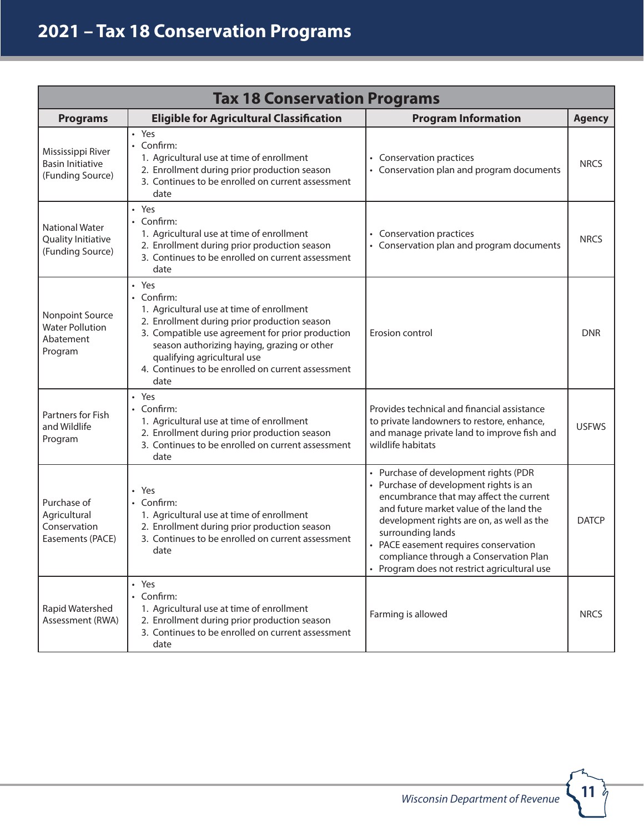| <b>Tax 18 Conservation Programs</b>                               |                                                                                                                                                                                                                                                                                                                 |                                                                                                                                                                                                                                                                                                                                                                            |               |
|-------------------------------------------------------------------|-----------------------------------------------------------------------------------------------------------------------------------------------------------------------------------------------------------------------------------------------------------------------------------------------------------------|----------------------------------------------------------------------------------------------------------------------------------------------------------------------------------------------------------------------------------------------------------------------------------------------------------------------------------------------------------------------------|---------------|
| <b>Programs</b>                                                   | <b>Eligible for Agricultural Classification</b>                                                                                                                                                                                                                                                                 | <b>Program Information</b>                                                                                                                                                                                                                                                                                                                                                 | <b>Agency</b> |
| Mississippi River<br><b>Basin Initiative</b><br>(Funding Source)  | • Yes<br>• Confirm:<br>1. Agricultural use at time of enrollment<br>2. Enrollment during prior production season<br>3. Continues to be enrolled on current assessment<br>date                                                                                                                                   | • Conservation practices<br>• Conservation plan and program documents                                                                                                                                                                                                                                                                                                      | <b>NRCS</b>   |
| <b>National Water</b><br>Quality Initiative<br>(Funding Source)   | • Yes<br>• Confirm:<br>1. Agricultural use at time of enrollment<br>2. Enrollment during prior production season<br>3. Continues to be enrolled on current assessment<br>date                                                                                                                                   | • Conservation practices<br>• Conservation plan and program documents                                                                                                                                                                                                                                                                                                      | <b>NRCS</b>   |
| Nonpoint Source<br><b>Water Pollution</b><br>Abatement<br>Program | · Yes<br>• Confirm:<br>1. Agricultural use at time of enrollment<br>2. Enrollment during prior production season<br>3. Compatible use agreement for prior production<br>season authorizing haying, grazing or other<br>qualifying agricultural use<br>4. Continues to be enrolled on current assessment<br>date | Erosion control                                                                                                                                                                                                                                                                                                                                                            | <b>DNR</b>    |
| Partners for Fish<br>and Wildlife<br>Program                      | • Yes<br>• Confirm:<br>1. Agricultural use at time of enrollment<br>2. Enrollment during prior production season<br>3. Continues to be enrolled on current assessment<br>date                                                                                                                                   | Provides technical and financial assistance<br>to private landowners to restore, enhance,<br>and manage private land to improve fish and<br>wildlife habitats                                                                                                                                                                                                              | <b>USFWS</b>  |
| Purchase of<br>Agricultural<br>Conservation<br>Easements (PACE)   | • Yes<br>• Confirm:<br>1. Agricultural use at time of enrollment<br>2. Enrollment during prior production season<br>3. Continues to be enrolled on current assessment<br>date                                                                                                                                   | • Purchase of development rights (PDR<br>• Purchase of development rights is an<br>encumbrance that may affect the current<br>and future market value of the land the<br>development rights are on, as well as the<br>surrounding lands<br>• PACE easement requires conservation<br>compliance through a Conservation Plan<br>• Program does not restrict agricultural use | <b>DATCP</b>  |
| Rapid Watershed<br>Assessment (RWA)                               | • Yes<br>• Confirm:<br>1. Agricultural use at time of enrollment<br>2. Enrollment during prior production season<br>3. Continues to be enrolled on current assessment<br>date                                                                                                                                   | Farming is allowed                                                                                                                                                                                                                                                                                                                                                         | <b>NRCS</b>   |

 $\frac{11}{7}$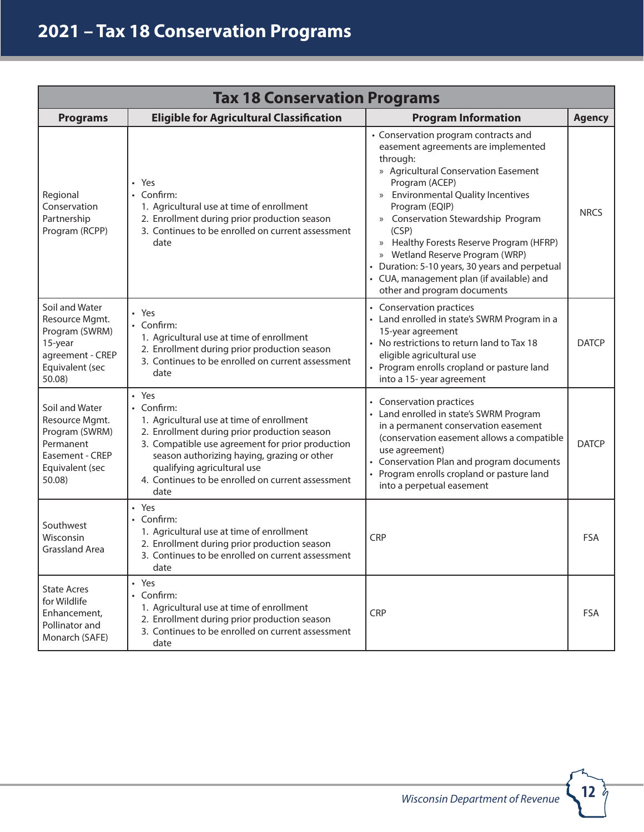| <b>Tax 18 Conservation Programs</b>                                                                             |                                                                                                                                                                                                                                                                                                                 |                                                                                                                                                                                                                                                                                                                                                                                                                                                                                  |               |
|-----------------------------------------------------------------------------------------------------------------|-----------------------------------------------------------------------------------------------------------------------------------------------------------------------------------------------------------------------------------------------------------------------------------------------------------------|----------------------------------------------------------------------------------------------------------------------------------------------------------------------------------------------------------------------------------------------------------------------------------------------------------------------------------------------------------------------------------------------------------------------------------------------------------------------------------|---------------|
| <b>Programs</b>                                                                                                 | <b>Eligible for Agricultural Classification</b>                                                                                                                                                                                                                                                                 | <b>Program Information</b>                                                                                                                                                                                                                                                                                                                                                                                                                                                       | <b>Agency</b> |
| Regional<br>Conservation<br>Partnership<br>Program (RCPP)                                                       | • Yes<br>• Confirm:<br>1. Agricultural use at time of enrollment<br>2. Enrollment during prior production season<br>3. Continues to be enrolled on current assessment<br>date                                                                                                                                   | • Conservation program contracts and<br>easement agreements are implemented<br>through:<br>» Agricultural Conservation Easement<br>Program (ACEP)<br>» Environmental Quality Incentives<br>Program (EQIP)<br>» Conservation Stewardship Program<br>(CSP)<br>Healthy Forests Reserve Program (HFRP)<br>$\rangle$<br>» Wetland Reserve Program (WRP)<br>• Duration: 5-10 years, 30 years and perpetual<br>• CUA, management plan (if available) and<br>other and program documents | <b>NRCS</b>   |
| Soil and Water<br>Resource Mgmt.<br>Program (SWRM)<br>15-year<br>agreement - CREP<br>Equivalent (sec<br>50.08   | • Yes<br>• Confirm:<br>1. Agricultural use at time of enrollment<br>2. Enrollment during prior production season<br>3. Continues to be enrolled on current assessment<br>date                                                                                                                                   | • Establishes agricultural conservation<br>practices<br>• Land enrolled in state's SWRM Program in a<br>15-year agreement<br>• No restrictions to return land to Tax 18<br>eligible agricultural use<br>• Program enrolls cropland or pasture land<br>into a 15-year agreement<br>• CREP equivalent requires agricultural use at<br>the time of enrollment                                                                                                                       | <b>DATCP</b>  |
| Soil and Water<br>Resource Mgmt.<br>Program (SWRM)<br>Permanent<br>Easement - CREP<br>Equivalent (sec<br>50.08) | • Yes<br>• Confirm:<br>1. Agricultural use at time of enrollment<br>2. Enrollment during prior production season<br>3. Compatible use agreement for prior production<br>season authorizing haying, grazing or other<br>qualifying agricultural use<br>4. Continues to be enrolled on current assessment<br>date | • Establishes agricultural conservation<br>practices<br>• CREP equivalent easements have provisions<br>included equivalent to compatible use<br>agreements<br>• Conservation Plan and program documents<br>• Program enrolls cropland or pasture land<br>into a perpetual easement<br>• CREP equivalent requires agricultural use at<br>the time of enrollment                                                                                                                   | <b>DATCP</b>  |
| Southwest<br>Wisconsin<br>Grassland Area                                                                        | • Yes<br>• Confirm:<br>1. Agricultural use at time of enrollment<br>2. Enrollment during prior production season<br>3. Continues to be enrolled on current assessment<br>date                                                                                                                                   | <b>CRP</b>                                                                                                                                                                                                                                                                                                                                                                                                                                                                       | <b>FSA</b>    |
| <b>State Acres</b><br>for Wildlife<br>Enhancement,<br>Pollinator and<br>Monarch (SAFE)                          | • Yes<br>• Confirm:<br>1. Agricultural use at time of enrollment<br>2. Enrollment during prior production season<br>3. Continues to be enrolled on current assessment<br>date                                                                                                                                   | <b>CRP</b>                                                                                                                                                                                                                                                                                                                                                                                                                                                                       | <b>FSA</b>    |

 $\frac{12}{7}$